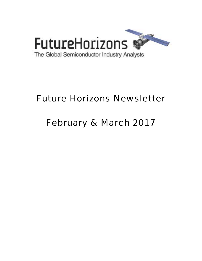

# Future Horizons Newsletter

# February & March 2017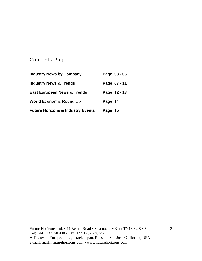### Contents Page

| <b>Industry News by Company</b>              | Page 03 - 06 |
|----------------------------------------------|--------------|
| <b>Industry News &amp; Trends</b>            | Page 07 - 11 |
| <b>East European News &amp; Trends</b>       | Page 12 - 13 |
| <b>World Economic Round Up</b>               | Page 14      |
| <b>Future Horizons &amp; Industry Events</b> | Page 15      |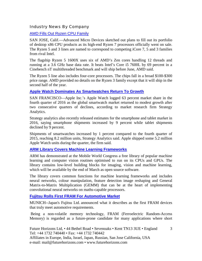#### Industry News By Company

#### [AMD Fills Out Ryzen CPU Family](http://www.eetimes.com/document.asp?doc_id=1331427&_mc=RSS_EET_EDT)

SAN JOSE, Calif.—Advanced Micro Devices sketched out plans to fill out its portfolio of desktop x86 CPU products as its high-end Ryzen 7 processors officially went on sale. The Ryzen 5 and 3 lines are named to correspond to competing iCore 7, 5 and 3 families from rival Intel.

The flagship Ryzen 5 1600X uses six of AMD's Zen cores handling 12 threads and running at a 3.6 GHz base data rate. It beats Intel's Core i5 7600L by 69 percent in a Cinebench nT multithreaded benchmark and will ship before June, AMD said.

The Ryzen 5 line also includes four-core processors. The chips fall in a broad \$100-\$300 price range. AMD provided no details on the Ryzen 3 family except that it will ship in the second half of the year.

#### **[Apple Watch Dominates As Smartwatches Return To Growth](http://www.eetimes.com/document.asp?doc_id=1331301&_mc=NL_EET_EDT_EET_daily_20170206&cid=NL_EET_EDT_EET_daily_20170206&elqTrackId=1384a5578ed344e59df0e1da7a2c66fc&elq=6ad7c84cb17b446c9d6228b1325b38b2&elqaid=35758&elqat=1&elqCampaignId=31264)**

SAN FRANCISCO—Apple Inc.'s Apple Watch logged 63 percent market share in the fourth quarter of 2016 as the global smartwatch market returned to modest growth after two consecutive quarters of declines, according to market research firm Strategy Analytics.

Strategy analytics also recently released estimates for the smartphone and tablet market in 2016, saying smartphone shipments increased by 9 percent while tablet shipments declined by 9 percent.

Shipments of smartwatches increased by 1 percent compared to the fourth quarter of 2015, reaching 8.2 million units, Strategy Analytics said. Apple shipped some 5.2 million Apple Watch units during the quarter, the firm said.

#### **[ARM Library Covers Machine Learning Frameworks](http://www.eetindia.co.in/NEWS_TYPE_NT_industry-news.HTM)**

ARM has demonstrated at the Mobile World Congress a free library of popular machine learning and computer vision routines optimised to run on its CPUs and GPUs. The library contains low-level building blocks for imaging, vision and machine learning, which will be available by the end of March as open source software.

The library covers common functions for machine learning frameworks and includes neural networks, colour manipulation, feature detection image reshaping and General Matrix-to-Matrix Multiplication (GEMM) that can be at the heart of implementing convolutional neural networks on maths-capable processors.

#### **[Fujitsu Rolls First FRAM For Automotive Market](http://www.eetimes.com/document.asp?doc_id=1331292&_mc=NL_EET_EDT_EET_memorydesignline_20170214&cid=NL_EET_EDT_EET_memorydesignline_20170214&elqTrackId=d38ec216fb3345c895f90bf9a789fad8&elq=45bd5112f25c420598e955f7fa42eda2&elqaid=35821&elqat=1&elqCampaignId)**

MUNICH--Japan's Fujitsu Ltd. announced what it describes as the first FRAM devices that truly meet automotive requirements.

 Being a non-volatile memory technology, FRAM (Ferroelectric Random-Access Memory) is regarded as a future-prone candidate for many applications where short

3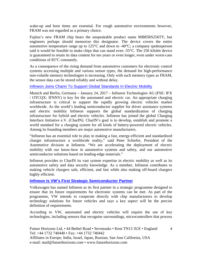wake-up and boot times are essential. For rough automotive environments however, FRAM was not regarded as a primary choice.

Fujitus's new FRAM chip bears the unspeakable product name MB85RS256TY, but engineers perhaps should memorize this designator. The device covers the entire automotive temperature range up to 125°C and down to -40°C; a company spokesperson said it would be feasible to make chips that can stand even -55°C. The 256 kilobit device is guaranteed to retain its data content for ten years or even longer, even under worst-case conditions of 85°C constantly.

As a consequence of the rising demand from automotive customers for electronic control systems accessing multiple and various sensor types, the demand for high-performance non-volatile memory technologies is increasing. Only with such memory types as FRAM, the sensor data can be stored reliably and without delay.

#### [Infineon Joins Charin To Support Global Standards In Electric Mobility](http://www.infineon.com/cms/en/about-infineon/press/press-releases/2017/INFATV201701-026.html)

Munich and Berlin, Germany – January 24, 2017 – Infineon Technologies AG (FSE: IFX / OTCQX: IFNNY) is key for the automated and electric car. An appropriate charging infrastructure is critical to support the rapidly growing electric vehicles market worldwide. As the world's leading semiconductor supplier for driver assistance systems and electric mobility Infineon supports the global standardization of charging infrastructure for hybrid and electric vehicles. Infineon has joined the global Charging Interface Initiative e.V. (CharIN). CharIN's goal is to develop, establish and promote a world standard for a charging system for all kinds of battery-powered electric vehicles. Among its founding members are major automotive manufacturers.

"Infineon has an essential role to play in making a fast, energy-efficient and standardized charger infrastructure a worldwide reality," said Peter Schiefer, President of the Automotive division at Infineon. "We are accelerating the deployment of electric mobility with our know-how in automotive systems and safety, and our automotive semiconductor solutions based on leading-edge materials."

Infineon provides to CharIN its vast system expertise in electric mobility as well as its automotive safety and data security knowledge. As a member, Infineon contributes to making vehicle chargers safe, efficient, and fast while also making off-board chargers highly efficient.

#### **[Infineon Is VW's First Strategic Semiconductor Partner](http://www.newelectronics.co.uk/electronics-news/vw-selects-infineon-as-semiconductor-partner/152188/)**

Volkswagen has named Infineon as its first partner in a strategic programme designed to ensure that its future requirements for electronic systems can be met. As part of the programme, VW intends to cooperate directly with chip manufacturers to develop technology solutions for future vehicles and says a key aspect will be the precise definition of requirements.

According to VW, automated and electric vehicles will require the use of key technologies, including sensors that recognise surroundings, microcontrollers that process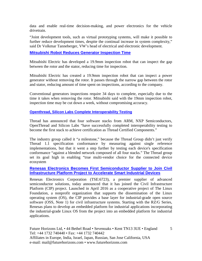data and enable real-time decision-making, and power electronics for the vehicle drivetrain.

"Joint development tools, such as virtual prototyping systems, will make it possible to further reduce development times, despite the continual increase in system complexity," said Dr Volkmar Tanneberger, VW's head of electrical and electronic development.

#### **[Mitsubishi Robot Reduces Generator Inspection Time](http://www.eetindia.co.in/news/article/mitsubishi-robot-reduces-generator-inspection-time?utm_source=EETI%20Article%20Alert&utm_medium=Email&utm_campaign=2017-02-06)**

Mitsubishi Electric has developed a 19.9mm inspection robot that can inspect the gap between the rotor and the stator, reducing time for inspection.

Mitsubishi Electric has created a 19.9mm inspection robot that can inspect a power generator without removing the rotor. It passes through the narrow gap between the rotor and stator, reducing amount of time spent on inspections, according to the company.

Conventional generators inspections require 34 days to complete, especially due to the time it takes when removing the rotor. Mitsubishi said with the 19mm inspection robot, inspection time may be cut down a week, without compromising accuracy.

#### **[Openthread, Silicon Labs Complete Interoperability Testing](http://www.eetindia.co.in/news/article/openthread-silicon-labs-complete-interoperability-testing)**

Thread has announced that four software stacks from ARM, NXP Semiconductors, OpenThread and Silicon Labs "have successfully completed interoperability testing to become the first stack to achieve certification as Thread Certified Components."

The industry group called it "a milestone," because the Thread Group didn't just verify Thread 1.1 specification conformance by measuring against single reference implementations, but that it went a step further by testing each device's specification conformance "against a blended network composed of all four stacks." The Thread group set its goal high in enabling "true multi-vendor choice for the connected device ecosystem

#### **[Renesas Electronics Becomes First Semiconductor Supplier to Join Civil](http://finance.yahoo.com/news/renesas-electronics-becomes-first-semiconductor-181200195.html)  [Infrastructure Platform Project to Accelerate Smart Industrial Devices](http://finance.yahoo.com/news/renesas-electronics-becomes-first-semiconductor-181200195.html)**

Renesas Electronics Corporation (TSE:6723), a premier supplier of advanced semiconductor solutions, today announced that it has joined the Civil Infrastructure Platform (CIP) project. Launched in April 2016 as a cooperative project of The Linux Foundation, a nonprofit organization that supports the dissemination of the Linux operating system (OS), the CIP provides a base layer for industrial-grade open source software (OSS, Note 1) for civil infrastructure systems. Starting with the RZ/G Series, Renesas plans to develop an embedded platform for industrial applications incorporating the industrial-grade Linux OS from the project into an embedded platform for industrial applications.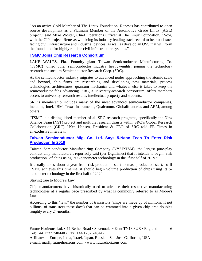"As an active Gold Member of The Linux Foundation, Renesas has contributed to open source development as a Platinum Member of the Automotive Grade Linux (AGL) project," said Mike Woster, Chief Operations Officer at The Linux Foundation. "Now, with the CIP project, Renesas will bring its industry-leading track record to bear on issues facing civil infrastructure and industrial devices, as well as develop an OSS that will form the foundation for highly reliable civil infrastructure systems."

#### **[TSMC Joins Chip Research Consortium](http://www.eetimes.com/document.asp?doc_id=1331422&_mc=RSS_EET_EDT)**

LAKE WALES, Fla.—Foundry giant Taiwan Semiconductor Manufacturing Co. (TSMC) joined other semiconductor industry heavyweights, joining the technology research consortium Semiconductor Research Corp. (SRC).

As the semiconductor industry migrates to advanced nodes approaching the atomic scale and beyond, chip firms are researching and developing new materials, process technologies, architectures, quantum mechanics and whatever else it takes to keep the semiconductor fabs advancing. SRC, a university-research consortium, offers members access to university research results, intellectual property and students.

SRC's membership includes many of the most advanced semiconductor companies, including Intel, IBM, Texas Instruments, Qualcomm, Globalfoundries and ARM, among others.

"TSMC is a distinguished member of all SRC research programs, specifically the New Science Team (NST) project and multiple research thrusts within SRC's Global Research Collaboration (GRC), " Ken Hansen, President & CEO of SRC told EE Times in an exclusive interview.

#### **Taiwan Semiconductor Mfg. Co. Ltd. Says 5-Nano Tech To Enter Risk Production In 2019**

Taiwan Semiconductor Manufacturing Company (NYSE:TSM), the largest pure-play contract chip manufacturer, reportedly said (per DigiTimes) that it intends to begin "risk production" of chips using its 5-nanometer technology in the "first half of 2019."

It usually takes about a year from risk-production start to mass-production start, so if TSMC achieves this timeline, it should begin volume production of chips using its 5 nanometer technology in the first half of 2020.

Staying true to Moore's Law

Chip manufacturers have historically tried to advance their respective manufacturing technologies at a regular pace prescribed by what is commonly referred to as Moore's Law.

According to this "law," the number of transistors (chips are made up of millions, if not billions, of transistors these days) that can be crammed into a given chip area doubles roughly every 24-months.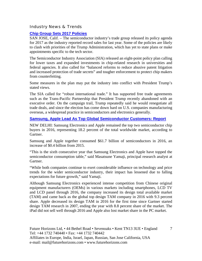#### Industry News & Trends

#### **[Chip Group Sets 2017 Policies](http://www.eetimes.com/document.asp?doc_id=1331296&_mc=NL_EET_EDT_EET_daily_20170203&cid=NL_EET_EDT_EET_daily_20170203&elqTrackId=65fb9e8969b74d79887e01a13f9d87b2&elq=d535fed4e80a4a4481a5caa37f060b82&elqaid=35747&elqat=1&elqCampaignId=31259)**

SAN JOSE, Calif. – The semiconductor industry's trade group released its policy agenda for 2017 as the industry reported record sales for last year. Some of the policies are likely to clash with priorities of the Trump Administration, which has yet to state plans or make appointments specific to the tech sector.

The Semiconductor Industry Association (SIA) released an eight-point policy plan calling for lower taxes and expanded investments in chip-related research in universities and federal agencies. It also called for "balanced reforms to reduce abusive patent litigation and increased protection of trade secrets" and tougher enforcement to protect chip makers from counterfeiting.

Some measures in the plan may put the industry into conflict with President Trump's stated views.

The SIA called for "robust international trade." It has supported free trade agreements such as the Trans-Pacific Partnership that President Trump recently abandoned with an executive order. On the campaign trail, Trump repeatedly said he would renegotiate all trade deals, and since the election has come down hard on U.S. companies manufacturing overseas, a widespread practice in semiconductors and electronics generally.

#### **[Samsung, Apple Lead As Top Global Semiconductor Customers: Report](http://www.voicendata.com/samsung-apple-lead-as-top-global-semiconductor-customers-report/)**

NEW DELHI: Samsung Electronics and Apple remained the top two semiconductor chip buyers in 2016, representing 18.2 percent of the total worldwide market, according to Gartner.

Samsung and Apple together consumed \$61.7 billion of semiconductors in 2016, an increase of \$0.4 billion from 2015.

"This is the sixth consecutive year that Samsung Electronics and Apple have topped the semiconductor consumption table," said Masatsune Yamaji, principal research analyst at Gartner.

"While both companies continue to exert considerable influence on technology and price trends for the wider semiconductor industry, their impact has lessened due to falling expectations for future growth," said Yamaji.

Although Samsung Electronics experienced intense competition from Chinese original equipment manufacturers (OEMs) in various markets including smartphones, LCD TV and LCD panel through 2016, the company increased its design total available market (TAM) and came back as the global top design TAM company in 2016 with 9.3 percent share. Apple decreased its design TAM in 2016 for the first time since Gartner started design TAM research in 2007, ending the year with 8.8 percent share of the market. The iPad did not sell well through 2016 and Apple also lost market share in the PC market.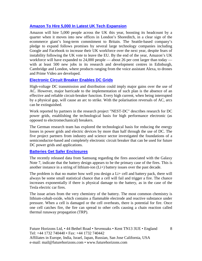#### **Amazon To Hire 5,000 In Latest UK Tech Expansion**

Amazon will hire 5,000 people across the UK this year, boosting its headcount by a quarter when it moves into new offices in London's Shoreditch, in a clear sign of the ecommerce giant's long-term commitment to Britain. The Seattle-based company's pledge to expand follows promises by several large technology companies including Google and Facebook to increase their UK workforce over the next year, despite fears of instability following the UK vote to leave the EU. By the end of the year, Amazon's UK workforce will have expanded to 24,000 people — about 26 per cent larger than today with at least 500 new jobs in its research and development centres in Edinburgh, Cambridge and London, where products ranging from the voice assistant Alexa, to drones and Prime Video are developed.

#### **[Electronic Circuit Breaker Enables DC Grids](http://www.eetindia.co.in/news/article/electronic-circuit-breaker-enables-dc-grids?utm_source=EETI%20Article%20Alert&utm_medium=Email&utm_campaign=2017-02-16)**

High-voltage DC transmission and distribution could imply major gains over the use of AC. However, major barricade to the implementation of such plan is the absence of an effective and reliable circuit-breaker function. Every high current, when being interrupted by a physical gap, will cause an arc to strike. With the polarisation reversals of AC, arcs can be extinguished.

Work reported by partners in the research project "NEST-DC" describes research for DC power grids, establishing the technological basis for high performance electronic (as opposed to electromechanical) breakers.

The German research team has explored the technological basis for reducing the energy losses in power grids and electric devices by more than half through the use of DC. The five project partners from industry and science sector investigated the foundations of a semiconductor-based and completely electronic circuit breaker that can be used for future DC power grids and applications.

#### **[Batteries Get Safer Enclosures](http://www.eetimes.com/author.asp?section_id=36&doc_id=1331299&_mc=NL_EET_EDT_EET_daily_20170206&cid=NL_EET_EDT_EET_daily_20170206&elqTrackId=2bc03a76b5ce4e77a11e2056def38e53&elq=6ad7c84cb17b446c9d6228b1325b38b2&elqaid=35758&elqat=1&elqCampaignId=31264)**

The recently released data from Samsung regarding the fires associated with the Galaxy Note 7, indicate that the battery design appears to be the primary case of the fires. This is another instance in a string of lithium-ion (Li+) battery issues over the past decade.

The problem is that no matter how well you design a Li+ cell and battery pack, there will always be some small statistical chance that a cell will fail and trigger a fire. The chance increases exponentially if there is physical damage to the battery, as in the case of the Tesla electric car fires.

The issue arises from the very chemistry of the battery. The most common chemistry is lithium-cobalt-oxide, which contains a flammable electrode and reactive substance under pressure. When a cell is damaged or the cell overheats, there is potential for fire. Once one cell catches fire, the fire can spread to other cells causing a chain reaction called thermal runaway propagation (TRP).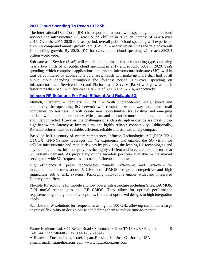#### **[2017 Cloud Spending To Reach \\$122.5b](http://www.eetindia.co.in/news/article/2017-cloud-spending-to-reach-usd122-5b?utm_source=EETI%20Article%20Alert&utm_medium=Email&utm_campaign=2017-02-22)**

The International Data Corp. (IDC) has reported that worldwide spending on public cloud services and infrastructure will reach \$122.5 billion in 2017, an increase of 24.4% over 2016. Over the 2015-2020 forecast period, overall public cloud spending will experience a 21.5% compound annual growth rate (CAGR) – nearly seven times the rate of overall IT spending growth. By 2020, IDC forecasts public cloud spending will reach \$203.4 billion worldwide.

Software as a Service (SaaS) will remain the dominant cloud computing type, capturing nearly two thirds of all public cloud spending in 2017 and roughly 60% in 2020. SaaS spending, which comprises applications and system infrastructure software (SIS), will in turn be dominated by applications purchases, which will make up more than half of all public cloud spending throughout the forecast period. However, spending on Infrastructure as a Service (IaaS) and Platform as a Service (PaaS) will grow at much faster rates than SaaS with five-year CAGRs of 30.1% and 32.2%, respectively.

#### **[Infineon RF Solutions For Fast, Efficient And Reliable 5G](http://www.infineon.com/cms/en/about-infineon/press/market-news/2017/INFPMM201702-034.html)**

Munich, Germany – February 27, 2017 – With unprecedented scale, speed and complexity the upcoming 5G network will revolutionize the way large and small companies do business. It will create new opportunities for existing and emerging markets while making our homes, cities, cars and industries more intelligent, automated and interconnected. However, the challenges of such a disruptive change are great: ultrahigh-bandwidth, latency as low as 1 ms and highly reliable connectivity. Additionally, RF architectures must be scalable, efficient, reliable and still extremely compact.

Based on half a century of system competency, Infineon Technologies AG (FSE: IFX / OTCQX: IFNNY) now leverages the 4G experience and enables the 5G vision for cellular infrastructure and mobile devices by providing the leading RF technologies and key building blocks. Infineon provides the highly efficient and integrated architecture that 5G systems demand. As proprietary of the broadest portfolio available in the market serving the wide 5G frequencies spectrum, Infineon combines:

High efficiency RF power technologies, namely GaN-on-SiC and GaN-on-Si for integrated architectures above 6 GHz and LDMOS for price competitive and high ruggedness sub 6 GHz systems. Packaging innovations enable wideband integrated Doherty amplifiers

Flexible RF solutions for mobile and low power infrastructure including SiGe, BiCMOS, GaN mmW technologies and RF CMOS. They allow for optimal performance requirements granting alternative options, from cost optimized designs to high integration needs

Scalable mmW solutions for frequencies as high as 100 GHz allowing customers a large degree of flexibility in design-phase and helping them to reduce time-to-market.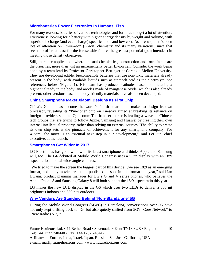#### **[Microbatteries Power Electronics In Humans, Fish](http://www.eetindia.co.in/news/article/microbatteries-power-electronics-in-humans-fish?utm_source=EETI%20Article%20Alert&utm_medium=Email&utm_campaign=2017-02-28)**

For many reasons, batteries of various technologies and form factors get a lot of attention. Everyone is looking for a battery with higher energy density by weight and volume, with superior discharge (and even charge) specifications and low cost. As a result, there's been lots of attention on lithium-ion (Li-ion) chemistry and its many variations, since that seems to offer–at least for the foreseeable future–the greatest potential (pun intended) in meeting those density objectives.

Still, there are applications where unusual chemistries, construction and form factor are the priorities, more than just an incrementally better Li-ion cell. Consider the work being done by a team lead by Professor Christopher Bettinger at Carnegie Mellon University. They are developing edible, biocompatible batteries that use non-toxic materials already present in the body, with available liquids such as stomach acid as the electrolyte; see references below (Figure 1). His team has produced cathodes based on melanin, a pigment already in the body, and anodes made of manganese oxide, which is also already present; other versions based on body-friendly materials have also been developed.

#### **China Smartphone Maker Xiaomi Designs Its First Chip**

China's Xiaomi has become the world's fourth smartphone maker to design its own processor, revealing its "Pinecone" chip on Tuesday aimed at breaking its reliance on foreign providers such as Qualcomm.The handset maker is leading a wave of Chinese tech groups that are trying to follow Apple, Samsung and Huawei by creating their own internal intellectual property, rather than relying on external sources."The ability to create its own chip sets is the pinnacle of achievement for any smartphone company. For Xiaomi, the move is an essential next step in our development," said Lei Jun, chief executive, at the launch.

#### **[Smartphones Get Wider In 2017](http://www.eetindia.co.in/news/article/smartphones-get-wider-in-2017?utm_source=EETI%20Article%20Alert&utm_medium=Email&utm_campaign=2017-03-01)**

LG Electronics has gone wide with its latest smartphone and thinks Apple and Samsung will, too. The G6 debuted at Mobile World Congress uses a 5.7in display with an 18:9 aspect ratio and dual wide-angle cameras.

"We tried to make the screen the biggest part of this device…we see 18:9 as an emerging format, and many movies are being published or shot in this format this year," said Ian Hwang, product planning manager for LG's G and V series phones, who believes the Apple iPhone 8 and Samsung Galaxy 8 will both support the 18:9 aspect ratio this year.

LG makes the new LCD display in the G6 which uses two LEDs to deliver a 500 nit brightness indoors and 650 nits outdoors.

#### **[Why Vendors Are Standing Behind 'Non-Standalone' 5G](http://www.eetindia.co.in/news/article/why-vendors-are-standing-behind-non-standalone-5g?utm_source=EETI%20Article%20Alert&utm_medium=Email&utm_campaign=2017-03-06)**

During the Mobile World Congress (MWC) in Barcelona, conversations over 5G have not only kept drifting back to 4G, but also quietly shifted from 5G's "Core Network" to "New Radio (NR)."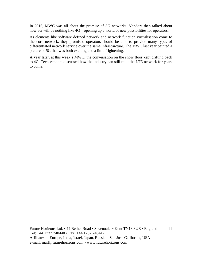In 2016, MWC was all about the promise of 5G networks. Vendors then talked about how 5G will be nothing like 4G—opening up a world of new possibilities for operators.

As elements like software defined network and network function virtualisation come to the core network, they promised operators should be able to provide many types of differentiated network service over the same infrastructure. The MWC last year painted a picture of 5G that was both exciting and a little frightening.

A year later, at this week's MWC, the conversation on the show floor kept drifting back to 4G. Tech vendors discussed how the industry can still milk the LTE network for years to come.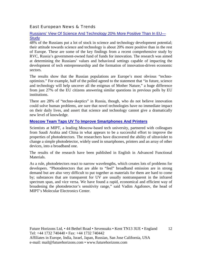#### East European News & Trends

#### [Russians' View Of Science And Technology 20% More Positive Than In EU—](http://marchmontnews.com/Technology-Innovation/Central-regions/21746-Russians-view-science-and-technology-20-more-positive-than-EU%E2%80%94study-.html) **[Study](http://marchmontnews.com/Technology-Innovation/Central-regions/21746-Russians-view-science-and-technology-20-more-positive-than-EU%E2%80%94study-.html)**

48% of the Russians put a lot of stock in science and technology development potential; their attitude towards science and technology is about 20% more positive than in the rest of Europe. These are some of the key findings from a recent comprehensive study by RVC, Russia's government-owned fund of funds for innovation. The research was aimed at determining the Russians' values and behavioral settings capable of impacting the development of tech entrepreneurship and the formation of innovation-driven economic sectors.

The results show that the Russian populations are Europe's most obvious "technooptimists." For example, half of the polled agreed to the statement that "in future, science and technology will help uncover all the enigmas of Mother Nature," a huge difference from just 27% of the EU citizens answering similar questions in previous polls by EU institutions.

There are 28% of "techno-skeptics" in Russia, though, who do not believe innovation could solve human problems, are sure that novel technologies have no immediate impact on their daily lives, and assert that science and technology cannot give a dramatically new level of knowledge.

#### **[Moscow Team Taps UV To Improve Smartphones And Printers](http://marchmontnews.com/Technology-Innovation/Central-regions/21711-Moscow-team-taps-UV-improve-smartphones-and-printers.html)**

Scientists at MIPT, a leading Moscow-based tech university, partnered with colleagues from Saudi Arabia and China in what appears to be a successful effort to improve the properties of photodetectors. The researchers have discovered the ability of ultraviolet to change a simple photodetector, widely used in smartphones, printers and an array of other devices, into a broadband one.

The results of the research have been published in English in Advanced Functional Materials.

As a rule, photodetectors react to narrow wavelengths, which creates lots of problems for developers. "Photodetectors that are able to "feel" broadband emission are in strong demand but are also very difficult to put together as materials for them are hard to come by; substances that are transparent for UV are usually nontransparent in the infrared spectrum span, and vice versa. We have found a rapid, economical and efficient way of broadening the photodetector's sensitivity range," said Vadim Agafonov, the head of MIPT's Molecular Electronics Center.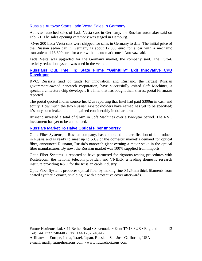#### [Russia's Autovaz Starts Lada Vesta Sales In Germany](http://rbth.com/business/2017/02/21/russias-autovaz-starts-lada-vesta-sales-in-germany_707108)

Autovaz launched sales of Lada Vesta cars in Germany, the Russian automaker said on Feb. 21. The sales opening ceremony was staged in Hamburg.

"Over 200 Lada Vesta cars were shipped for sales in Germany to date. The initial price of the Russian sedan car in Germany is about 12,500 euro for a car with a mechanic transaxle and 13,300 euro for a car with an automatic one," Autovaz said.

Lada Vesta was upgraded for the Germany market, the company said. The Euro-6 toxicity reduction system was used in the vehicle.

#### **[Russians Out, Intel In: State Firms "Gainfully" Exit Innovative CPU](http://www.marchmontnews.com/Finance-Business/Central-regions/21758-Russians-out-Intel-in-state-firms-gainfully-exit-innovative-CPU-developer.html)  [Developer](http://www.marchmontnews.com/Finance-Business/Central-regions/21758-Russians-out-Intel-in-state-firms-gainfully-exit-innovative-CPU-developer.html)**

RVC, Russia's fund of funds for innovation, and Rusnano, the largest Russian government-owned nanotech corporation, have successfully exited Soft Machines, a special architecture chip developer. It's Intel that has bought their shares, portal Firrma.ru reported.

The portal quoted Indian source Inc42 as reporting that Intel had paid \$300m in cash and equity. How much the two Russian ex-stockholders have earned has yet to be specified; it's only been leaked that both gained considerably in dollar terms.

Rusnano invested a total of \$14m in Soft Machines over a two-year period. The RVC investment has yet to be announced.

#### **[Russia's Market To Halve Optical Fiber Imports?](http://www.marchmontnews.com/Telecoms-Media/Central-regions/21756-Russias-market-halve-optical-fiber-imports.html)**

Optic Fiber Systems, a Russian company, has completed the certification of its products in Russia and is ready to meet up to 50% of the domestic market's demand for optical fiber, announced Rusnano, Russia's nanotech giant owning a major stake in the optical fiber manufacturer. By now, the Russian market was 100% supplied from imports.

Optic Fiber Systems is reported to have partnered for rigorous testing procedures with Rostelecom, the national telecom provider, and VNIIKP, a leading domestic research institute providing R&D for the Russian cable industry.

Optic Fiber Systems produces optical fiber by making fine 0.125mm thick filaments from heated synthetic quartz, shielding it with a protective cover afterwards.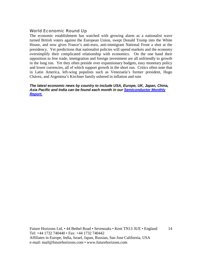#### World Economic Round Up

The economic establishment has watched with growing alarm as a nationalist wave turned British voters against the European Union, swept Donald Trump into the White House, and now gives France's anti-euro, anti-immigrant National Front a shot at the presidency. Yet predictions that nationalist policies will upend markets and the economy oversimplify their complicated relationship with economics. On the one hand their opposition to free trade, immigration and foreign investment are all unfriendly to growth in the long run. Yet they often preside over expansionary budgets, easy monetary policy and lower currencies, all of which support growth in the short run. Critics often note that in Latin America, left-wing populists such as Venezuela's former president, Hugo Chávez, and Argentina's Kirchner family ushered in inflation and ruin

*The latest economic news by country to include USA, Europe, UK, Japan, China, Asia Pacific and India can be found each month in our [Semiconductor Monthly](http://www.futurehorizons.com/page/18/Global-Semiconductor-Report)  [Report.](http://www.futurehorizons.com/page/18/Global-Semiconductor-Report)*